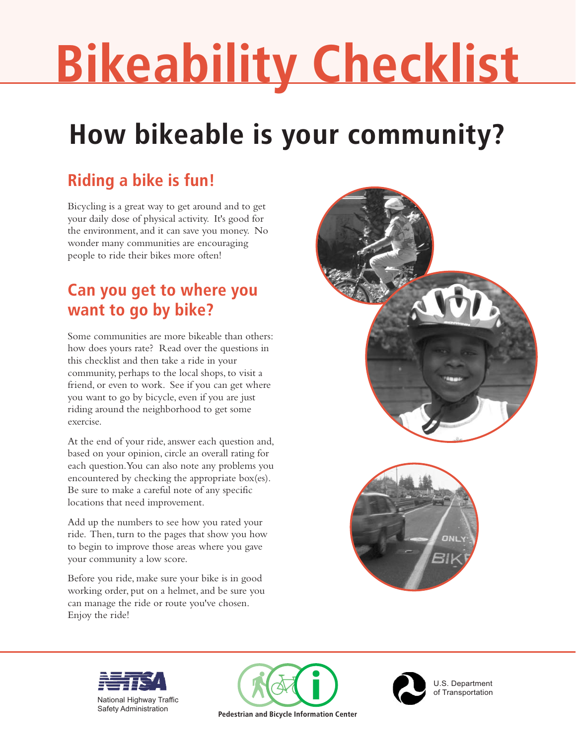# **Bikeability Checklist**

## **How bikeable is your community?**

### **Riding a bike is fun!**

Bicycling is a great way to get around and to get your daily dose of physical activity. It's good for the environment, and it can save you money. No wonder many communities are encouraging people to ride their bikes more often!

### **Can you get to where you want to go by bike?**

Some communities are more bikeable than others: how does yours rate? Read over the questions in this checklist and then take a ride in your community, perhaps to the local shops, to visit a friend, or even to work. See if you can get where you want to go by bicycle, even if you are just riding around the neighborhood to get some exercise.

At the end of your ride, answer each question and, based on your opinion, circle an overall rating for each question. You can also note any problems you encountered by checking the appropriate box(es). Be sure to make a careful note of any specific locations that need improvement.

Add up the numbers to see how you rated your ride. Then, turn to the pages that show you how to begin to improve those areas where you gave your community a low score.

Before you ride, make sure your bike is in good working order, put on a helmet, and be sure you can manage the ride or route you've chosen. Enjoy the ride!











U.S. Department of Transportation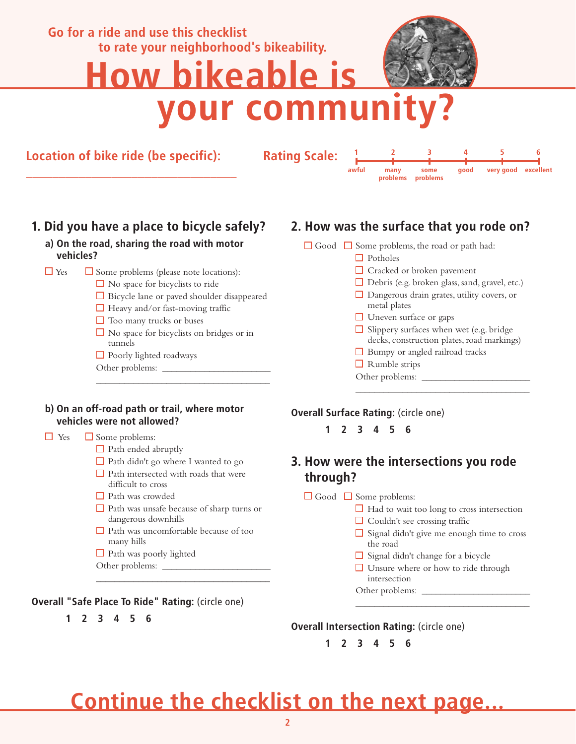## **Go for a ride and use this checklist to rate your neighborhood's bikeability. How bikeable is your community?**

**Location of bike ride (be specific):** 

**\_\_\_\_\_\_\_\_\_\_\_\_\_\_\_\_\_\_\_\_\_\_\_\_\_\_\_\_\_\_\_\_** 

**Rating Scale:**

**123456 awful many problems some problems good excellent very good**

### **1. Did you have a place to bicycle safely?**

#### **a) On the road, sharing the road with motor vehicles?**

- $\Box$  Yes  $\Box$  Some problems (please note locations):
	- $\Box$  No space for bicyclists to ride
	- Bicycle lane or paved shoulder disappeared
	- $\Box$  Heavy and/or fast-moving traffic
	- $\Box$  Too many trucks or buses
	- $\Box$  No space for bicyclists on bridges or in tunnels

\_\_\_\_\_\_\_\_\_\_\_\_\_\_\_\_\_\_\_\_\_\_\_\_\_\_\_\_\_\_\_\_\_\_\_\_\_

- Poorly lighted roadways
- Other problems: \_\_\_\_\_\_\_\_\_\_\_\_\_\_\_\_\_\_\_\_\_\_\_

#### **2. How was the surface that you rode on?**

#### $\Box$  Good  $\Box$  Some problems, the road or path had:

- □ Potholes
	- □ Cracked or broken pavement
	- Debris (e.g. broken glass, sand, gravel, etc.)
- □ Dangerous drain grates, utility covers, or metal plates
- $\Box$  Uneven surface or gaps
- $\Box$  Slippery surfaces when wet (e.g. bridge) decks, construction plates, road markings)

\_\_\_\_\_\_\_\_\_\_\_\_\_\_\_\_\_\_\_\_\_\_\_\_\_\_\_\_\_\_\_\_\_\_\_\_\_

- Bumpy or angled railroad tracks
- $\Box$  Rumble strips
- Other problems: \_

#### **b) On an off-road path or trail, where motor vehicles were not allowed?**

#### $\Box$  Yes  $\Box$  Some problems:

- $\Box$  Path ended abruptly
- $\Box$  Path didn't go where I wanted to go
- $\Box$  Path intersected with roads that were difficult to cross
- Path was crowded
- Path was unsafe because of sharp turns or dangerous downhills

 $\_$ 

- $\Box$  Path was uncomfortable because of too many hills
- $\Box$  Path was poorly lighted
- Other problems: \_\_\_\_\_\_\_\_\_\_\_\_\_\_\_\_\_\_\_\_\_\_\_

#### **Overall "Safe Place To Ride" Rating:** (circle one)

 **1 2 3 4 5 6**

#### **Overall Surface Rating:** (circle one)

 **1 2 3 4 5 6**

#### **3. How were the intersections you rode through?**

#### $\Box$  Good  $\Box$  Some problems:

- $\Box$  Had to wait too long to cross intersection
- $\Box$  Couldn't see crossing traffic
- $\Box$  Signal didn't give me enough time to cross the road

\_\_\_\_\_\_\_\_\_\_\_\_\_\_\_\_\_\_\_\_\_\_\_\_\_\_\_\_\_\_\_\_\_\_\_\_\_

- $\Box$  Signal didn't change for a bicycle
- **□** Unsure where or how to ride through intersection
- Other problems: \_

**Overall Intersection Rating:** (circle one)

 **1 2 3 4 5 6**

## **Continue the checklist on the next page...**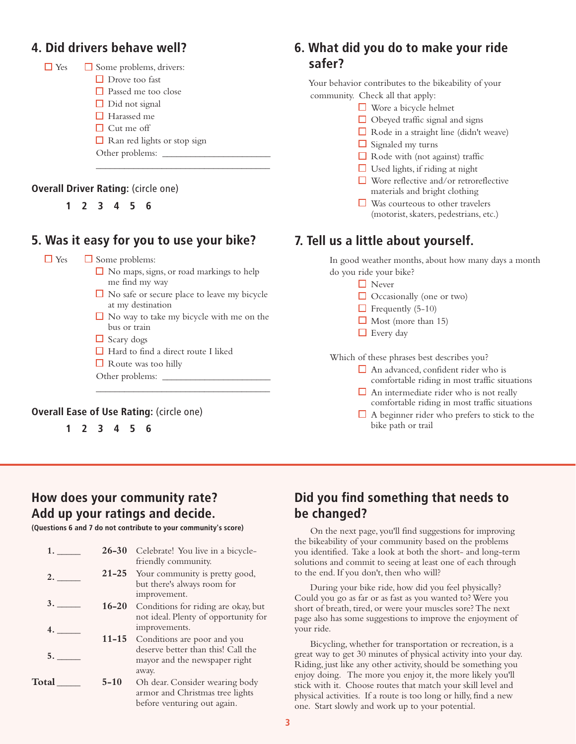#### **4. Did drivers behave well?**



#### **Overall Driver Rating:** (circle one)

 **1 2 3 4 5 6**

#### **5. Was it easy for you to use your bike?**

 $\Box$  Yes  $\Box$  Some problems:

 $\Box$  No maps, signs, or road markings to help me find my way

\_\_\_\_\_\_\_\_\_\_\_\_\_\_\_\_\_\_\_\_\_\_\_\_\_\_\_\_\_\_\_\_\_\_\_\_\_

- $\Box$  No safe or secure place to leave my bicycle at my destination
- $\Box$  No way to take my bicycle with me on the bus or train

 $\_$ 

- $\Box$  Scary dogs
- Hard to find a direct route I liked
- $\Box$  Route was too hilly
- Other problems: \_\_\_\_\_\_\_\_\_\_\_\_\_\_\_\_\_\_\_\_\_\_\_

#### **Overall Ease of Use Rating:** (circle one)

 **1 2 3 4 5 6**

#### **6. What did you do to make your ride safer?**

 Your behavior contributes to the bikeability of your community. Check all that apply:

- Wore a bicycle helmet
- $\Box$  Obeyed traffic signal and signs
- $\Box$  Rode in a straight line (didn't weave)
- $\Box$  Signaled my turns
- $\Box$  Rode with (not against) traffic
- $\Box$  Used lights, if riding at night
- Wore reflective and/or retroreflective materials and bright clothing
- $\Box$  Was courteous to other travelers (motorist, skaters, pedestrians, etc.)

#### **7. Tell us a little about yourself.**

 In good weather months, about how many days a month do you ride your bike?

- □ Never
- $\Box$  Occasionally (one or two)
- $\Box$  Frequently (5-10)
- $\Box$  Most (more than 15)
- □ Every day

Which of these phrases best describes you?

- $\Box$  An advanced, confident rider who is comfortable riding in most traffic situations
- $\Box$  An intermediate rider who is not really comfortable riding in most traffic situations
- $\Box$  A beginner rider who prefers to stick to the bike path or trail

#### **How does your community rate? Add up your ratings and decide.**

**(Questions 6 and 7 do not contribute to your community's score)**

| 1.    | $26 - 30$ | Celebrate! You live in a bicycle-    |
|-------|-----------|--------------------------------------|
|       |           | friendly community.                  |
| 2.    | $21 - 25$ | Your community is pretty good,       |
|       |           | but there's always room for          |
|       |           | improvement.                         |
| 3.    | $16 - 20$ | Conditions for riding are okay, but  |
|       |           | not ideal. Plenty of opportunity for |
|       |           | improvements.                        |
|       |           | 11-15 Conditions are poor and you    |
|       |           | deserve better than this! Call the   |
| 5.    |           | mayor and the newspaper right        |
|       |           | away.                                |
| Total | $5 - 10$  | Oh dear. Consider wearing body       |
|       |           | armor and Christmas tree lights      |
|       |           | before venturing out again.          |
|       |           |                                      |

#### **Did you find something that needs to be changed?**

 On the next page, you'll find suggestions for improving the bikeability of your community based on the problems you identified. Take a look at both the short- and long-term solutions and commit to seeing at least one of each through to the end. If you don't, then who will?

 During your bike ride, how did you feel physically? Could you go as far or as fast as you wanted to? Were you short of breath, tired, or were your muscles sore? The next page also has some suggestions to improve the enjoyment of your ride.

 Bicycling, whether for transportation or recreation, is a great way to get 30 minutes of physical activity into your day. Riding, just like any other activity, should be something you enjoy doing. The more you enjoy it, the more likely you'll stick with it. Choose routes that match your skill level and physical activities. If a route is too long or hilly, find a new one. Start slowly and work up to your potential.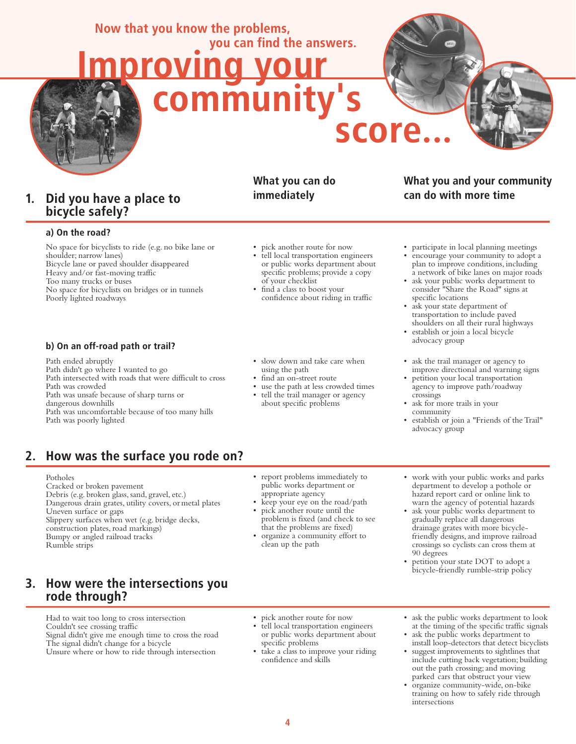#### **Now that you know the problems, you can find the answers.**



#### **1. Did you have a place to bicycle safely?**

#### **a) On the road?**

 No space for bicyclists to ride (e.g. no bike lane or shoulder; narrow lanes) Bicycle lane or paved shoulder disappeared Heavy and/or fast-moving traffic Too many trucks or buses No space for bicyclists on bridges or in tunnels Poorly lighted roadways

#### **b) On an off-road path or trail?**

 Path ended abruptly Path didn't go where I wanted to go Path intersected with roads that were difficult to cross Path was crowded Path was unsafe because of sharp turns or dangerous downhills Path was uncomfortable because of too many hills Path was poorly lighted

#### **What you can do immediately**

- pick another route for now
- tell local transportation engineers or public works department about specific problems; provide a copy of your checklist

 **score...**

- find a class to boost your confidence about riding in traffic
- slow down and take care when using the path
- find an on-street route
- use the path at less crowded times tell the trail manager or agency
- about specific problems

#### **What you and your community can do with more time**

- participate in local planning meetings
- encourage your community to adopt a plan to improve conditions, including a network of bike lanes on major roads
- ask your public works department to consider "Share the Road" signs at specific locations
- ask your state department of transportation to include paved shoulders on all their rural highways
- establish or join a local bicycle advocacy group
- ask the trail manager or agency to improve directional and warning signs
- petition your local transportation agency to improve path/roadway crossings
- ask for more trails in your community
- establish or join a "Friends of the Trail" advocacy group

#### **2. How was the surface you rode on?**

#### Potholes

 Cracked or broken pavement Debris (e.g. broken glass, sand, gravel, etc.) Dangerous drain grates, utility covers, or metal plates Uneven surface or gaps Slippery surfaces when wet (e.g. bridge decks, construction plates, road markings) Bumpy or angled railroad tracks Rumble strips

#### **3. How were the intersections you rode through?**

 Had to wait too long to cross intersection Couldn't see crossing traffic Signal didn't give me enough time to cross the road The signal didn't change for a bicycle Unsure where or how to ride through intersection

- report problems immediately to public works department or appropriate agency
- keep your eye on the road/path • pick another route until the problem is fixed (and check to see that the problems are fixed)
- organize a community effort to clean up the path
- work with your public works and parks department to develop a pothole or hazard report card or online link to warn the agency of potential hazards
- ask your public works department to gradually replace all dangerous drainage grates with more bicycle friendly designs, and improve railroad crossings so cyclists can cross them at 90 degrees
- petition your state DOT to adopt a bicycle-friendly rumble-strip policy
- pick another route for now
- tell local transportation engineers or public works department about specific problems
- take a class to improve your riding confidence and skills
- ask the public works department to look at the timing of the specific traffic signals
- ask the public works department to install loop-detectors that detect bicyclists
- suggest improvements to sightlines that include cutting back vegetation; building out the path crossing; and moving parked cars that obstruct your view
- organize community-wide, on-bike training on how to safely ride through intersections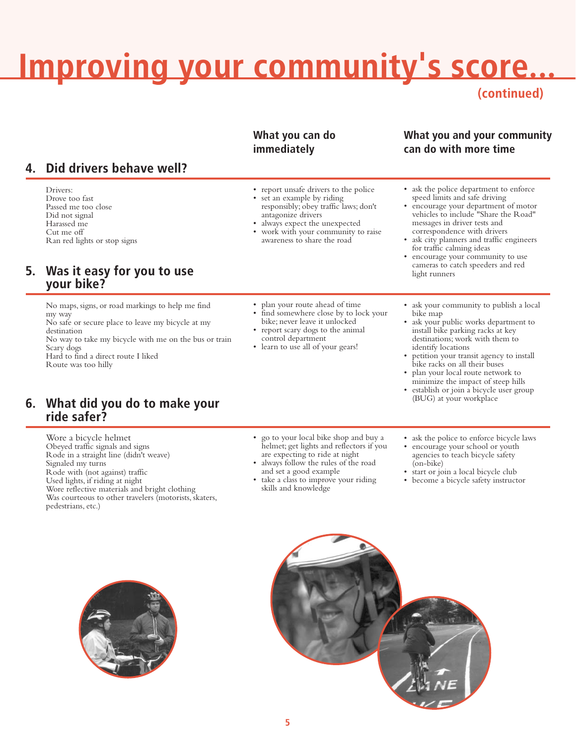## **Improving your community's score...**

**(continued)**

#### **What you can do immediately**

#### **4. Did drivers behave well?**

 Drivers: Drove too fast Passed me too close Did not signal Harassed me Cut me off Ran red lights or stop signs

#### **5. Was it easy for you to use your bike?**

 No maps, signs, or road markings to help me find my way

 No safe or secure place to leave my bicycle at my destination

 No way to take my bicycle with me on the bus or train Scary dogs Hard to find a direct route I liked

Route was too hilly

#### **6. What did you do to make your ride safer?**

 Wore a bicycle helmet Obeyed traffic signals and signs Rode in a straight line (didn't weave) Signaled my turns Rode with (not against) traffic Used lights, if riding at night Wore reflective materials and bright clothing Was courteous to other travelers (motorists, skaters, pedestrians, etc.)

- report unsafe drivers to the police set an example by riding
- responsibly; obey traffic laws; don't antagonize drivers • always expect the unexpected
- work with your community to raise awareness to share the road

• plan your route ahead of time find somewhere close by to lock your bike; never leave it unlocked report scary dogs to the animal

 control department • learn to use all of your gears!

- **What you and your community can do with more time**
- ask the police department to enforce speed limits and safe driving
- encourage your department of motor vehicles to include "Share the Road" messages in driver tests and correspondence with drivers
- ask city planners and traffic engineers for traffic calming ideas
- encourage your community to use cameras to catch speeders and red light runners
- ask your community to publish a local bike map
- ask your public works department to install bike parking racks at key destinations; work with them to identify locations
- petition your transit agency to install bike racks on all their buses
- plan your local route network to minimize the impact of steep hills
- establish or join a bicycle user group (BUG) at your workplace
- go to your local bike shop and buy a helmet; get lights and reflectors if you are expecting to ride at night
- always follow the rules of the road and set a good example
- take a class to improve your riding skills and knowledge
- ask the police to enforce bicycle laws
- encourage your school or youth agencies to teach bicycle safety (on-bike)
- start or join a local bicycle club
- become a bicycle safety instructor